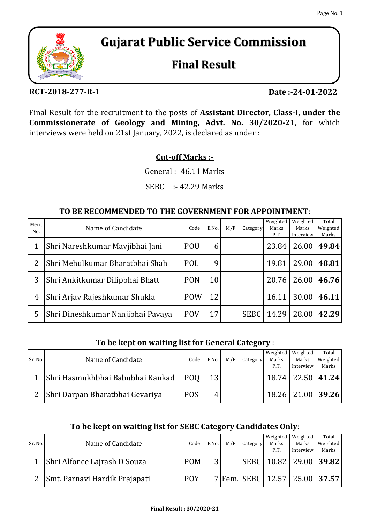

# **Gujarat Public Service Commission**

## **Final Result**

#### **RCT-2018-277-R-1**

**Date :-24-01-2022**

Final Result for the recruitment to the posts of **Assistant Director, Class-I, under the Commissionerate of Geology and Mining, Advt. No. 30/2020-21**, for which interviews were held on 21st January, 2022, is declared as under :

### **Cut-off Marks :-**

General :- 46.11 Marks

SEBC :- 42.29 Marks

#### **TO BE RECOMMENDED TO THE GOVERNMENT FOR APPOINTMENT**:

| Merit<br>N <sub>0</sub> | Name of Candidate                 | Code       | E.No. | M/F | Category    | Weighted<br>Marks<br>P.T. | Weighted<br>Marks<br>Interview | Total<br>Weighted<br>Marks |
|-------------------------|-----------------------------------|------------|-------|-----|-------------|---------------------------|--------------------------------|----------------------------|
|                         | Shri Nareshkumar Mavjibhai Jani   | POU        | 6     |     |             | 23.84                     | 26.00                          | 49.84                      |
| 2                       | Shri Mehulkumar Bharatbhai Shah   | POL        | 9     |     |             | 19.81                     | 29.00                          | 48.81                      |
| 3                       | Shri Ankitkumar Dilipbhai Bhatt   | <b>PON</b> | 10    |     |             | 20.76                     | 26.00                          | 46.76                      |
| 4                       | Shri Arjav Rajeshkumar Shukla     | <b>POW</b> | 12    |     |             | 16.11                     | 30.00                          | 46.11                      |
| 5                       | Shri Dineshkumar Nanjibhai Pavaya | <b>POV</b> | 17    |     | <b>SEBC</b> | 14.29                     | 28.00                          | 42.29                      |

#### **To be kept on waiting list for General Category** :

|         |                                  |            |                 |     |          | Weighted | Weighted              | Total    |
|---------|----------------------------------|------------|-----------------|-----|----------|----------|-----------------------|----------|
| Sr. No. | Name of Candidate                | Code       | E.No.           | M/F | Category | Marks    | Marks                 | Weighted |
|         |                                  |            |                 |     |          | P.T.     | Interview             | Marks    |
|         | Shri Hasmukhbhai Babubhai Kankad | <b>POO</b> | 13 <sup>l</sup> |     |          |          | 18.74   22.50   41.24 |          |
|         | Shri Darpan Bharatbhai Gevariya  | <b>POS</b> |                 |     |          |          | 18.26   21.00   39.26 |          |

#### **To be kept on waiting list for SEBC Category Candidates Only**:

|         |                               |            |                 |     |          | Weighted | Weighted                            | Total    |
|---------|-------------------------------|------------|-----------------|-----|----------|----------|-------------------------------------|----------|
| Sr. No. | Name of Candidate             | Code       | E.No.           | M/F | Category | Marks    | Marks                               | Weighted |
|         |                               |            |                 |     |          | P.T.     | Interview                           | Marks    |
|         | Shri Alfonce Lajrash D Souza  | <b>POM</b> | $\overline{2}1$ |     |          |          | SEBC   10.82   29.00   39.82        |          |
|         | Smt. Parnavi Hardik Prajapati | <b>POY</b> |                 |     |          |          | 7 Fem. SEBC   12.57   25.00   37.57 |          |